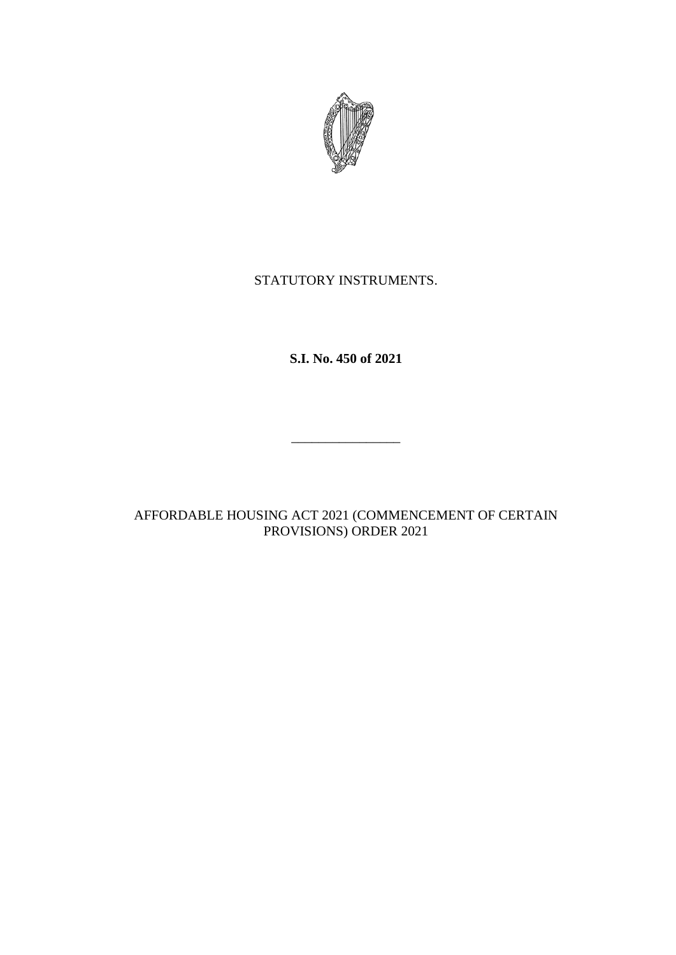

## STATUTORY INSTRUMENTS.

**S.I. No. 450 of 2021**

 $\frac{1}{2}$  , and the set of the set of the set of the set of the set of the set of the set of the set of the set of the set of the set of the set of the set of the set of the set of the set of the set of the set of the set

AFFORDABLE HOUSING ACT 2021 (COMMENCEMENT OF CERTAIN PROVISIONS) ORDER 2021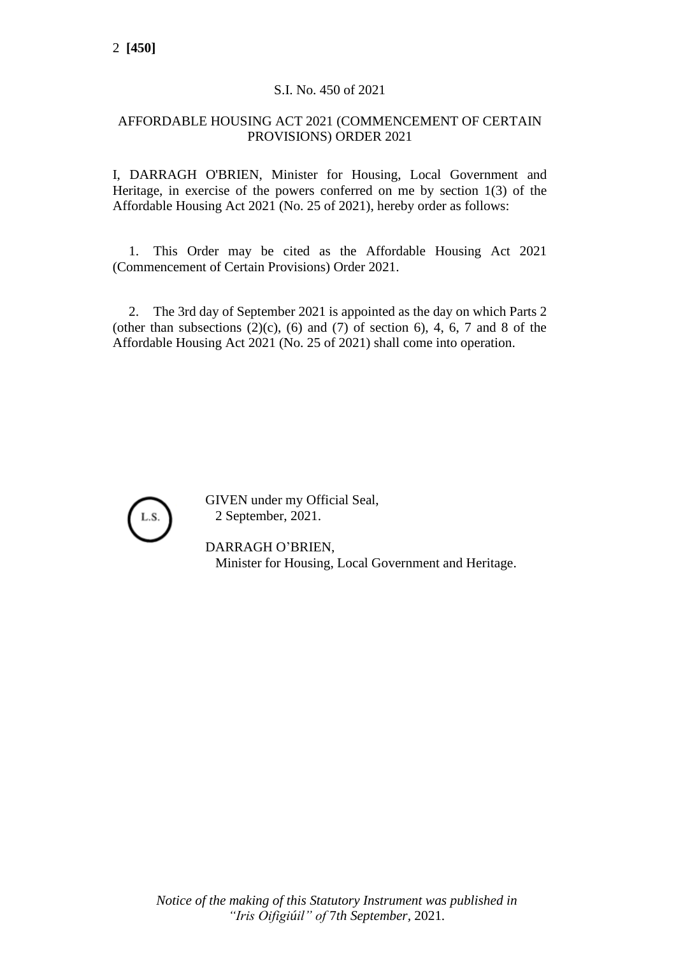## S.I. No. 450 of 2021

## AFFORDABLE HOUSING ACT 2021 (COMMENCEMENT OF CERTAIN PROVISIONS) ORDER 2021

I, DARRAGH O'BRIEN, Minister for Housing, Local Government and Heritage, in exercise of the powers conferred on me by section 1(3) of the Affordable Housing Act 2021 (No. 25 of 2021), hereby order as follows:

1. This Order may be cited as the Affordable Housing Act 2021 (Commencement of Certain Provisions) Order 2021.

2. The 3rd day of September 2021 is appointed as the day on which Parts 2 (other than subsections  $(2)(c)$ ,  $(6)$  and  $(7)$  of section 6), 4, 6, 7 and 8 of the Affordable Housing Act 2021 (No. 25 of 2021) shall come into operation.



GIVEN under my Official Seal, 2 September, 2021.

DARRAGH O'BRIEN, Minister for Housing, Local Government and Heritage.